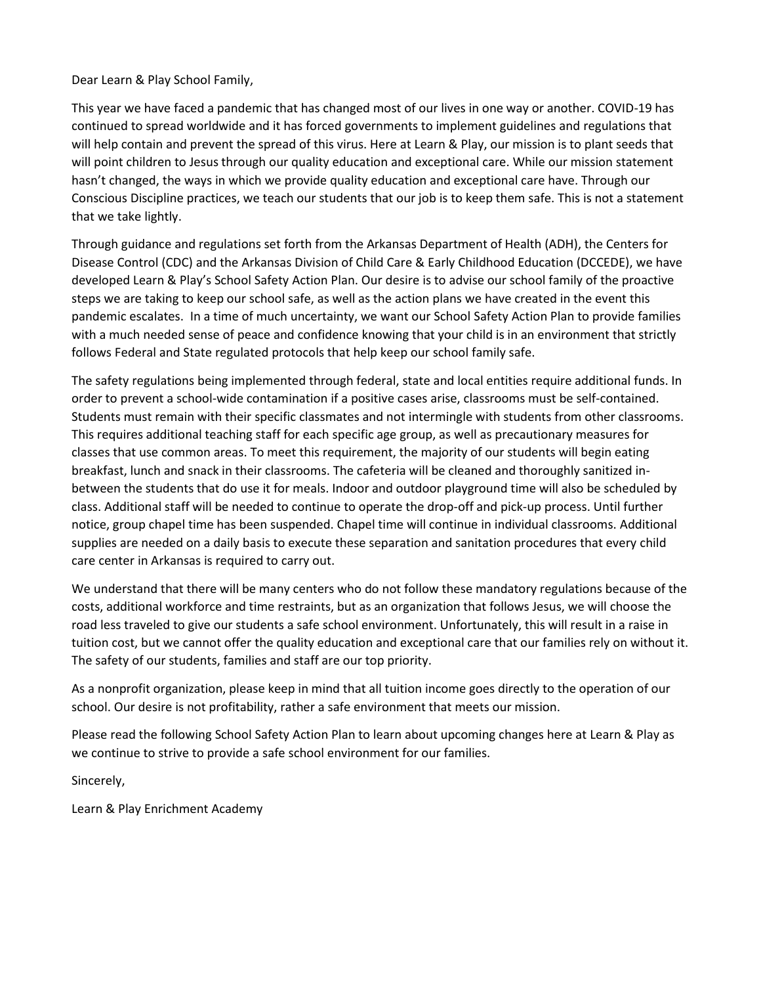Dear Learn & Play School Family,

This year we have faced a pandemic that has changed most of our lives in one way or another. COVID-19 has continued to spread worldwide and it has forced governments to implement guidelines and regulations that will help contain and prevent the spread of this virus. Here at Learn & Play, our mission is to plant seeds that will point children to Jesus through our quality education and exceptional care. While our mission statement hasn't changed, the ways in which we provide quality education and exceptional care have. Through our Conscious Discipline practices, we teach our students that our job is to keep them safe. This is not a statement that we take lightly.

Through guidance and regulations set forth from the Arkansas Department of Health (ADH), the Centers for Disease Control (CDC) and the Arkansas Division of Child Care & Early Childhood Education (DCCEDE), we have developed Learn & Play's School Safety Action Plan. Our desire is to advise our school family of the proactive steps we are taking to keep our school safe, as well as the action plans we have created in the event this pandemic escalates. In a time of much uncertainty, we want our School Safety Action Plan to provide families with a much needed sense of peace and confidence knowing that your child is in an environment that strictly follows Federal and State regulated protocols that help keep our school family safe.

The safety regulations being implemented through federal, state and local entities require additional funds. In order to prevent a school-wide contamination if a positive cases arise, classrooms must be self-contained. Students must remain with their specific classmates and not intermingle with students from other classrooms. This requires additional teaching staff for each specific age group, as well as precautionary measures for classes that use common areas. To meet this requirement, the majority of our students will begin eating breakfast, lunch and snack in their classrooms. The cafeteria will be cleaned and thoroughly sanitized inbetween the students that do use it for meals. Indoor and outdoor playground time will also be scheduled by class. Additional staff will be needed to continue to operate the drop-off and pick-up process. Until further notice, group chapel time has been suspended. Chapel time will continue in individual classrooms. Additional supplies are needed on a daily basis to execute these separation and sanitation procedures that every child care center in Arkansas is required to carry out.

We understand that there will be many centers who do not follow these mandatory regulations because of the costs, additional workforce and time restraints, but as an organization that follows Jesus, we will choose the road less traveled to give our students a safe school environment. Unfortunately, this will result in a raise in tuition cost, but we cannot offer the quality education and exceptional care that our families rely on without it. The safety of our students, families and staff are our top priority.

As a nonprofit organization, please keep in mind that all tuition income goes directly to the operation of our school. Our desire is not profitability, rather a safe environment that meets our mission.

Please read the following School Safety Action Plan to learn about upcoming changes here at Learn & Play as we continue to strive to provide a safe school environment for our families.

Sincerely,

Learn & Play Enrichment Academy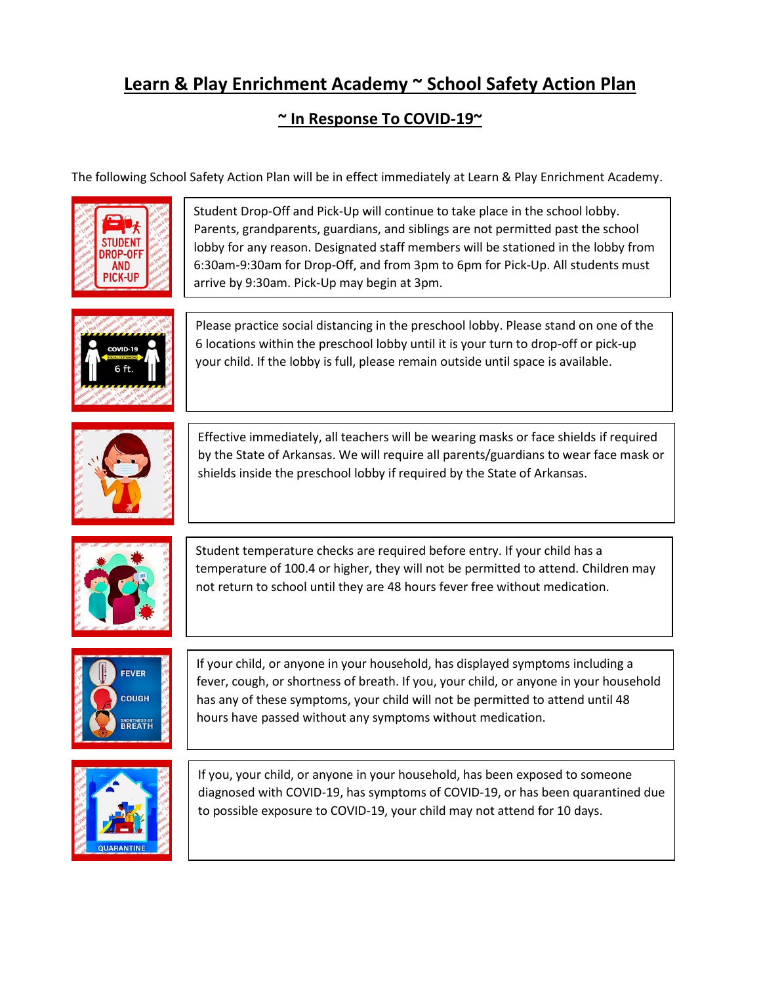## **Learn & Play Enrichment Academy ~ School Safety Action Plan**

## **~ In Response To COVID-19~**

The following School Safety Action Plan will be in effect immediately at Learn & Play Enrichment Academy.



Student Drop-Off and Pick-Up will continue to take place in the school lobby. Parents, grandparents, guardians, and siblings are not permitted past the school lobby for any reason. Designated staff members will be stationed in the lobby from 6:30am-9:30am for Drop-Off, and from 3pm to 6pm for Pick-Up. All students must arrive by 9:30am. Pick-Up may begin at 3pm.



Please practice social distancing in the preschool lobby. Please stand on one of the 6 locations within the preschool lobby until it is your turn to drop-off or pick-up your child. If the lobby is full, please remain outside until space is available.



Effective immediately, all teachers will be wearing masks or face shields if required by the State of Arkansas. We will require all parents/guardians to wear face mask or shields inside the preschool lobby if required by the State of Arkansas.



Student temperature checks are required before entry. If your child has a temperature of 100.4 or higher, they will not be permitted to attend. Children may not return to school until they are 48 hours fever free without medication.



If your child, or anyone in your household, has displayed symptoms including a fever, cough, or shortness of breath. If you, your child, or anyone in your household has any of these symptoms, your child will not be permitted to attend until 48 hours have passed without any symptoms without medication.



If you, your child, or anyone in your household, has been exposed to someone diagnosed with COVID-19, has symptoms of COVID-19, or has been quarantined due to possible exposure to COVID-19, your child may not attend for 10 days.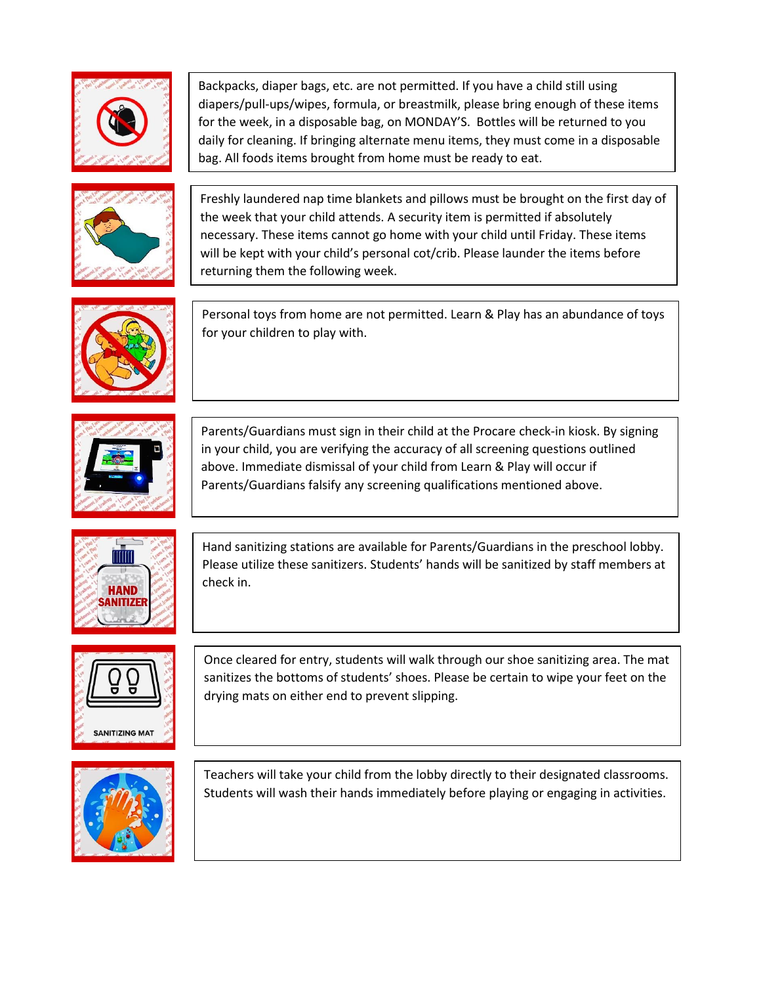

Backpacks, diaper bags, etc. are not permitted. If you have a child still using diapers/pull-ups/wipes, formula, or breastmilk, please bring enough of these items for the week, in a disposable bag, on MONDAY'S. Bottles will be returned to you daily for cleaning. If bringing alternate menu items, they must come in a disposable bag. All foods items brought from home must be ready to eat.



Freshly laundered nap time blankets and pillows must be brought on the first day of the week that your child attends. A security item is permitted if absolutely necessary. These items cannot go home with your child until Friday. These items will be kept with your child's personal cot/crib. Please launder the items before returning them the following week.



Personal toys from home are not permitted. Learn & Play has an abundance of toys for your children to play with.



Parents/Guardians must sign in their child at the Procare check-in kiosk. By signing in your child, you are verifying the accuracy of all screening questions outlined above. Immediate dismissal of your child from Learn & Play will occur if Parents/Guardians falsify any screening qualifications mentioned above.



Hand sanitizing stations are available for Parents/Guardians in the preschool lobby. Please utilize these sanitizers. Students' hands will be sanitized by staff members at check in.



Once cleared for entry, students will walk through our shoe sanitizing area. The mat sanitizes the bottoms of students' shoes. Please be certain to wipe your feet on the drying mats on either end to prevent slipping.



Teachers will take your child from the lobby directly to their designated classrooms. Students will wash their hands immediately before playing or engaging in activities.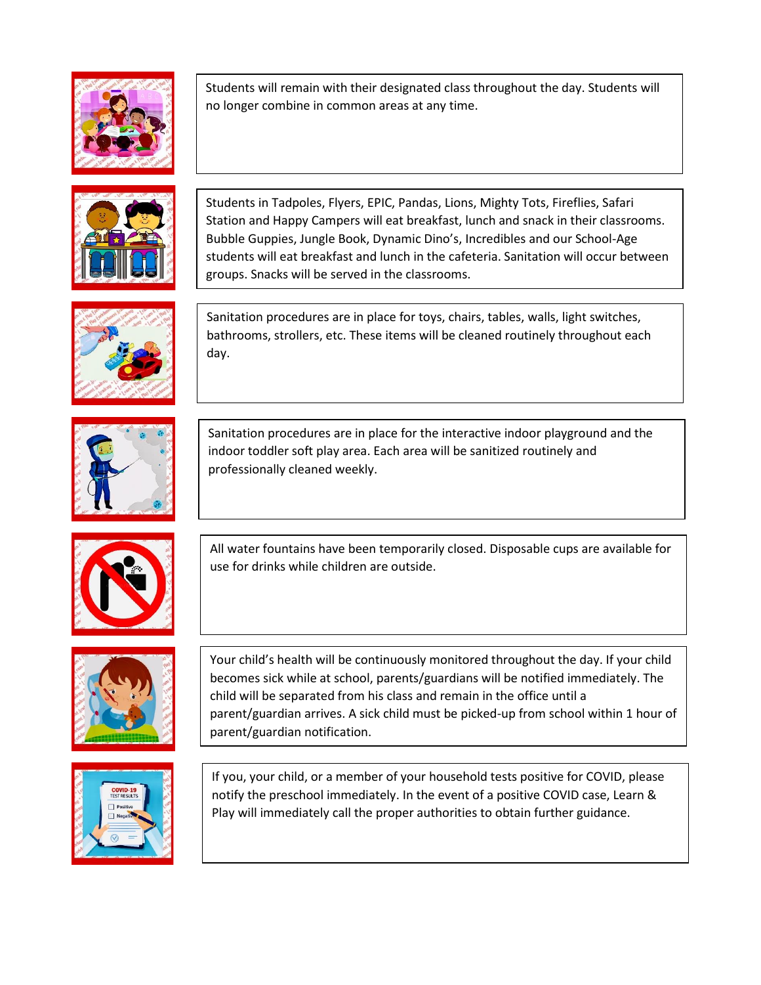

Students will remain with their designated class throughout the day. Students will no longer combine in common areas at any time.



Students in Tadpoles, Flyers, EPIC, Pandas, Lions, Mighty Tots, Fireflies, Safari Station and Happy Campers will eat breakfast, lunch and snack in their classrooms. Bubble Guppies, Jungle Book, Dynamic Dino's, Incredibles and our School-Age students will eat breakfast and lunch in the cafeteria. Sanitation will occur between groups. Snacks will be served in the classrooms.



Sanitation procedures are in place for toys, chairs, tables, walls, light switches, bathrooms, strollers, etc. These items will be cleaned routinely throughout each day.



Sanitation procedures are in place for the interactive indoor playground and the indoor toddler soft play area. Each area will be sanitized routinely and professionally cleaned weekly.



All water fountains have been temporarily closed. Disposable cups are available for use for drinks while children are outside.



Your child's health will be continuously monitored throughout the day. If your child becomes sick while at school, parents/guardians will be notified immediately. The child will be separated from his class and remain in the office until a parent/guardian arrives. A sick child must be picked-up from school within 1 hour of parent/guardian notification.



If you, your child, or a member of your household tests positive for COVID, please notify the preschool immediately. In the event of a positive COVID case, Learn & Play will immediately call the proper authorities to obtain further guidance.